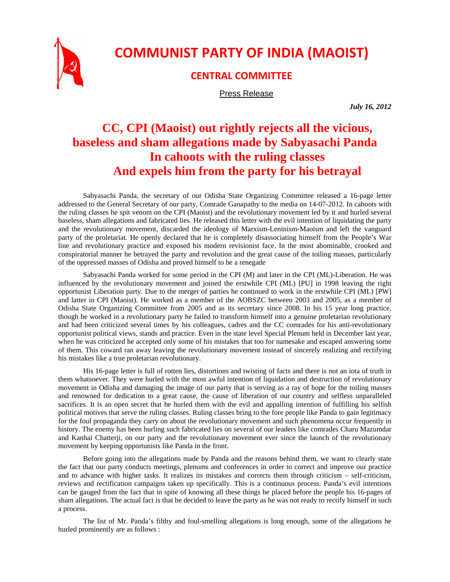

## **COMMUNIST PARTY OF INDIA (MAOIST)**

## **CENTRAL COMMITTEE**

Press Release

*July 16, 2012* 

## **CC, CPI (Maoist) out rightly rejects all the vicious, baseless and sham allegations made by Sabyasachi Panda In cahoots with the ruling classes And expels him from the party for his betrayal**

Sabyasachi Panda, the secretary of our Odisha State Organizing Committee released a 16-page letter addressed to the General Secretary of our party, Comrade Ganapathy to the media on 14-07-2012. In cahoots with the ruling classes he spit venom on the CPI (Maoist) and the revolutionary movement led by it and hurled several baseless, sham allegations and fabricated lies. He released this letter with the evil intention of liquidating the party and the revolutionary movement, discarded the ideology of Marxism-Leninism-Maoism and left the vanguard party of the proletariat. He openly declared that he is completely disassociating himself from the People's War line and revolutionary practice and exposed his modern revisionist face. In the most abominable, crooked and conspiratorial manner he betrayed the party and revolution and the great cause of the toiling masses, particularly of the oppressed masses of Odisha and proved himself to be a renegade

Sabyasachi Panda worked for some period in the CPI (M) and later in the CPI (ML)-Liberation. He was influenced by the revolutionary movement and joined the erstwhile CPI (ML) [PU] in 1998 leaving the right opportunist Liberation party. Due to the merger of parties he continued to work in the erstwhile CPI (ML) [PW] and latter in CPI (Maoist). He worked as a member of the AOBSZC between 2003 and 2005, as a member of Odisha State Organizing Committee from 2005 and as its secretary since 2008. In his 15 year long practice, though he worked in a revolutionary party he failed to transform himself into a genuine proletarian revolutionary and had been criticized several times by his colleagues, cadres and the CC comrades for his anti-revolutionary opportunist political views, stands and practice. Even in the state level Special Plenum held in December last year, when he was criticized he accepted only some of his mistakes that too for namesake and escaped answering some of them. This coward ran away leaving the revolutionary movement instead of sincerely realizing and rectifying his mistakes like a true proletarian revolutionary.

His 16-page letter is full of rotten lies, distortions and twisting of facts and there is not an iota of truth in them whatsoever. They were hurled with the most awful intention of liquidation and destruction of revolutionary movement in Odisha and damaging the image of our party that is serving as a ray of hope for the toiling masses and renowned for dedication to a great cause, the cause of liberation of our country and selfless unparalleled sacrifices. It is an open secret that he hurled them with the evil and appalling intention of fulfilling his selfish political motives that serve the ruling classes. Ruling classes bring to the fore people like Panda to gain legitimacy for the foul propaganda they carry on about the revolutionary movement and such phenomena occur frequently in history. The enemy has been hurling such fabricated lies on several of our leaders like comrades Charu Mazumdar and Kanhai Chatterji, on our party and the revolutionary movement ever since the launch of the revolutionary movement by keeping opportunists like Panda in the front.

Before going into the allegations made by Panda and the reasons behind them, we want to clearly state the fact that our party conducts meetings, plenums and conferences in order to correct and improve our practice and to advance with higher tasks. It realizes its mistakes and corrects them through criticism – self-criticism, reviews and rectification campaigns taken up specifically. This is a continuous process. Panda's evil intentions can be gauged from the fact that in spite of knowing all these things he placed before the people his 16-pages of sham allegations. The actual fact is that he decided to leave the party as he was not ready to rectify himself in such a process.

The list of Mr. Panda's filthy and foul-smelling allegations is long enough, some of the allegations he hurled prominently are as follows :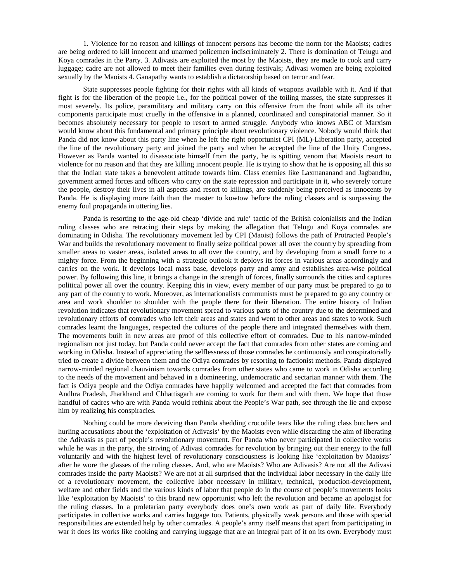1. Violence for no reason and killings of innocent persons has become the norm for the Maoists; cadres are being ordered to kill innocent and unarmed policemen indiscriminately 2. There is domination of Telugu and Koya comrades in the Party. 3. Adivasis are exploited the most by the Maoists, they are made to cook and carry luggage; cadre are not allowed to meet their families even during festivals; Adivasi women are being exploited sexually by the Maoists 4. Ganapathy wants to establish a dictatorship based on terror and fear.

State suppresses people fighting for their rights with all kinds of weapons available with it. And if that fight is for the liberation of the people i.e., for the political power of the toiling masses, the state suppresses it most severely. Its police, paramilitary and military carry on this offensive from the front while all its other components participate most cruelly in the offensive in a planned, coordinated and conspiratorial manner. So it becomes absolutely necessary for people to resort to armed struggle. Anybody who knows ABC of Marxism would know about this fundamental and primary principle about revolutionary violence. Nobody would think that Panda did not know about this party line when he left the right opportunist CPI (ML)-Liberation party, accepted the line of the revolutionary party and joined the party and when he accepted the line of the Unity Congress. However as Panda wanted to disassociate himself from the party, he is spitting venom that Maoists resort to violence for no reason and that they are killing innocent people. He is trying to show that he is opposing all this so that the Indian state takes a benevolent attitude towards him. Class enemies like Laxmananand and Jagbandhu, government armed forces and officers who carry on the state repression and participate in it, who severely torture the people, destroy their lives in all aspects and resort to killings, are suddenly being perceived as innocents by Panda. He is displaying more faith than the master to kowtow before the ruling classes and is surpassing the enemy foul propaganda in uttering lies.

Panda is resorting to the age-old cheap 'divide and rule' tactic of the British colonialists and the Indian ruling classes who are retracing their steps by making the allegation that Telugu and Koya comrades are dominating in Odisha. The revolutionary movement led by CPI (Maoist) follows the path of Protracted People's War and builds the revolutionary movement to finally seize political power all over the country by spreading from smaller areas to vaster areas, isolated areas to all over the country, and by developing from a small force to a mighty force. From the beginning with a strategic outlook it deploys its forces in various areas accordingly and carries on the work. It develops local mass base, develops party and army and establishes area-wise political power. By following this line, it brings a change in the strength of forces, finally surrounds the cities and captures political power all over the country. Keeping this in view, every member of our party must be prepared to go to any part of the country to work. Moreover, as internationalists communists must be prepared to go any country or area and work shoulder to shoulder with the people there for their liberation. The entire history of Indian revolution indicates that revolutionary movement spread to various parts of the country due to the determined and revolutionary efforts of comrades who left their areas and states and went to other areas and states to work. Such comrades learnt the languages, respected the cultures of the people there and integrated themselves with them. The movements built in new areas are proof of this collective effort of comrades. Due to his narrow-minded regionalism not just today, but Panda could never accept the fact that comrades from other states are coming and working in Odisha. Instead of appreciating the selflessness of those comrades he continuously and conspiratorially tried to create a divide between them and the Odiya comrades by resorting to factionist methods. Panda displayed narrow-minded regional chauvinism towards comrades from other states who came to work in Odisha according to the needs of the movement and behaved in a domineering, undemocratic and sectarian manner with them. The fact is Odiya people and the Odiya comrades have happily welcomed and accepted the fact that comrades from Andhra Pradesh, Jharkhand and Chhattisgarh are coming to work for them and with them. We hope that those handful of cadres who are with Panda would rethink about the People's War path, see through the lie and expose him by realizing his conspiracies.

Nothing could be more deceiving than Panda shedding crocodile tears like the ruling class butchers and hurling accusations about the 'exploitation of Adivasis' by the Maoists even while discarding the aim of liberating the Adivasis as part of people's revolutionary movement. For Panda who never participated in collective works while he was in the party, the striving of Adivasi comrades for revolution by bringing out their energy to the full voluntarily and with the highest level of revolutionary consciousness is looking like 'exploitation by Maoists' after he wore the glasses of the ruling classes. And, who are Maoists? Who are Adivasis? Are not all the Adivasi comrades inside the party Maoists? We are not at all surprised that the individual labor necessary in the daily life of a revolutionary movement, the collective labor necessary in military, technical, production-development, welfare and other fields and the various kinds of labor that people do in the course of people's movements looks like 'exploitation by Maoists' to this brand new opportunist who left the revolution and became an apologist for the ruling classes. In a proletarian party everybody does one's own work as part of daily life. Everybody participates in collective works and carries luggage too. Patients, physically weak persons and those with special responsibilities are extended help by other comrades. A people's army itself means that apart from participating in war it does its works like cooking and carrying luggage that are an integral part of it on its own. Everybody must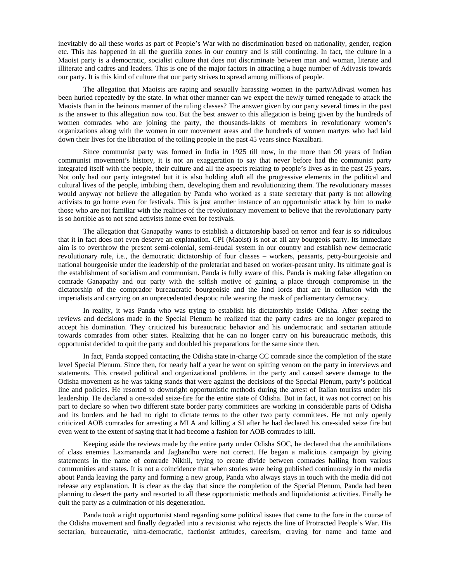inevitably do all these works as part of People's War with no discrimination based on nationality, gender, region etc. This has happened in all the guerilla zones in our country and is still continuing. In fact, the culture in a Maoist party is a democratic, socialist culture that does not discriminate between man and woman, literate and illiterate and cadres and leaders. This is one of the major factors in attracting a huge number of Adivasis towards our party. It is this kind of culture that our party strives to spread among millions of people.

The allegation that Maoists are raping and sexually harassing women in the party/Adivasi women has been hurled repeatedly by the state. In what other manner can we expect the newly turned renegade to attack the Maoists than in the heinous manner of the ruling classes? The answer given by our party several times in the past is the answer to this allegation now too. But the best answer to this allegation is being given by the hundreds of women comrades who are joining the party, the thousands-lakhs of members in revolutionary women's organizations along with the women in our movement areas and the hundreds of women martyrs who had laid down their lives for the liberation of the toiling people in the past 45 years since Naxalbari.

Since communist party was formed in India in 1925 till now, in the more than 90 years of Indian communist movement's history, it is not an exaggeration to say that never before had the communist party integrated itself with the people, their culture and all the aspects relating to people's lives as in the past 25 years. Not only had our party integrated but it is also holding aloft all the progressive elements in the political and cultural lives of the people, imbibing them, developing them and revolutionizing them. The revolutionary masses would anyway not believe the allegation by Panda who worked as a state secretary that party is not allowing activists to go home even for festivals. This is just another instance of an opportunistic attack by him to make those who are not familiar with the realities of the revolutionary movement to believe that the revolutionary party is so horrible as to not send activists home even for festivals.

The allegation that Ganapathy wants to establish a dictatorship based on terror and fear is so ridiculous that it in fact does not even deserve an explanation. CPI (Maoist) is not at all any bourgeois party. Its immediate aim is to overthrow the present semi-colonial, semi-feudal system in our country and establish new democratic revolutionary rule, i.e., the democratic dictatorship of four classes – workers, peasants, petty-bourgeoisie and national bourgeoisie under the leadership of the proletariat and based on worker-peasant unity. Its ultimate goal is the establishment of socialism and communism. Panda is fully aware of this. Panda is making false allegation on comrade Ganapathy and our party with the selfish motive of gaining a place through compromise in the dictatorship of the comprador bureaucratic bourgeoisie and the land lords that are in collusion with the imperialists and carrying on an unprecedented despotic rule wearing the mask of parliamentary democracy.

In reality, it was Panda who was trying to establish his dictatorship inside Odisha. After seeing the reviews and decisions made in the Special Plenum he realized that the party cadres are no longer prepared to accept his domination. They criticized his bureaucratic behavior and his undemocratic and sectarian attitude towards comrades from other states. Realizing that he can no longer carry on his bureaucratic methods, this opportunist decided to quit the party and doubled his preparations for the same since then.

In fact, Panda stopped contacting the Odisha state in-charge CC comrade since the completion of the state level Special Plenum. Since then, for nearly half a year he went on spitting venom on the party in interviews and statements. This created political and organizational problems in the party and caused severe damage to the Odisha movement as he was taking stands that were against the decisions of the Special Plenum, party's political line and policies. He resorted to downright opportunistic methods during the arrest of Italian tourists under his leadership. He declared a one-sided seize-fire for the entire state of Odisha. But in fact, it was not correct on his part to declare so when two different state border party committees are working in considerable parts of Odisha and its borders and he had no right to dictate terms to the other two party committees. He not only openly criticized AOB comrades for arresting a MLA and killing a SI after he had declared his one-sided seize fire but even went to the extent of saying that it had become a fashion for AOB comrades to kill.

Keeping aside the reviews made by the entire party under Odisha SOC, he declared that the annihilations of class enemies Laxmananda and Jagbandhu were not correct. He began a malicious campaign by giving statements in the name of comrade Nikhil, trying to create divide between comrades hailing from various communities and states. It is not a coincidence that when stories were being published continuously in the media about Panda leaving the party and forming a new group, Panda who always stays in touch with the media did not release any explanation. It is clear as the day that since the completion of the Special Plenum, Panda had been planning to desert the party and resorted to all these opportunistic methods and liquidationist activities. Finally he quit the party as a culmination of his degeneration.

Panda took a right opportunist stand regarding some political issues that came to the fore in the course of the Odisha movement and finally degraded into a revisionist who rejects the line of Protracted People's War. His sectarian, bureaucratic, ultra-democratic, factionist attitudes, careerism, craving for name and fame and